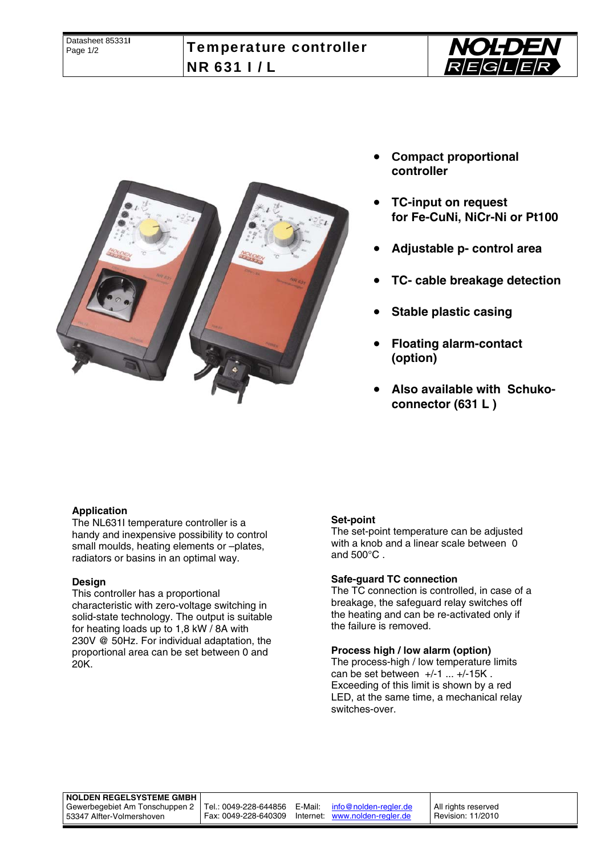



- **Compact proportional controller**
- **TC-input on request for Fe-CuNi, NiCr-Ni or Pt100**
- **Adjustable p- control area**
- **TC- cable breakage detection**
- **Stable plastic casing**
- **Floating alarm-contact (option)**
- **Also available with Schukoconnector (631 L )**

#### **Application**

The NL631I temperature controller is a handy and inexpensive possibility to control small moulds, heating elements or –plates, radiators or basins in an optimal way.

#### **Design**

This controller has a proportional characteristic with zero-voltage switching in solid-state technology. The output is suitable for heating loads up to 1,8 kW / 8A with 230V @ 50Hz. For individual adaptation, the proportional area can be set between 0 and 20K.

#### **Set-point**

The set-point temperature can be adjusted with a knob and a linear scale between 0 and 500°C .

#### **Safe-guard TC connection**

The TC connection is controlled, in case of a breakage, the safeguard relay switches off the heating and can be re-activated only if the failure is removed.

#### **Process high / low alarm (option)**

The process-high / low temperature limits can be set between  $+/-1$  ...  $+/-15K$ . Exceeding of this limit is shown by a red LED, at the same time, a mechanical relay switches-over.

# **NOLDEN REGELSYSTEME GMBH**

Gewerbegebiet Am Tonschuppen 2 53347 Alfter-Volmershoven

Tel.: 0049-228-644856 E-Mail: info@nolden-regler.de Fax: 0049-228-640309 Internet: www.nolden-regler.de

All rights reserved Revision: 11/2010